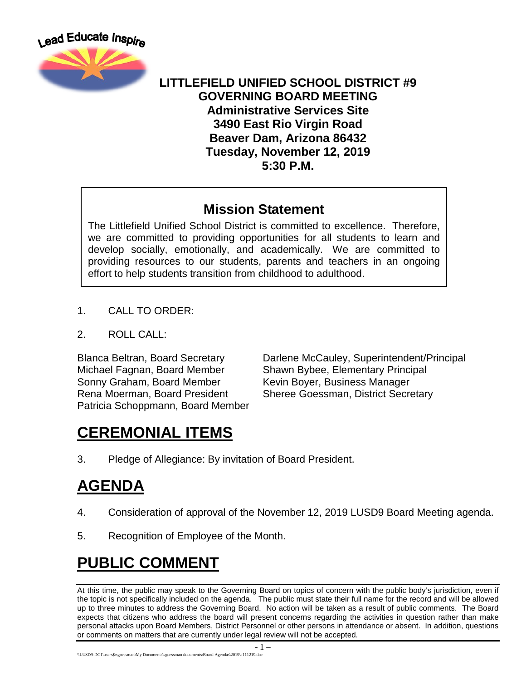

### **LITTLEFIELD UNIFIED SCHOOL DISTRICT #9 GOVERNING BOARD MEETING Administrative Services Site 3490 East Rio Virgin Road Beaver Dam, Arizona 86432 Tuesday, November 12, 2019 5:30 P.M.**

### **Mission Statement**

The Littlefield Unified School District is committed to excellence. Therefore, we are committed to providing opportunities for all students to learn and develop socially, emotionally, and academically. We are committed to providing resources to our students, parents and teachers in an ongoing effort to help students transition from childhood to adulthood.

- 1. CALL TO ORDER:
- 2. ROLL CALL:

Michael Fagnan, Board Member Shawn Bybee, Elementary Principal Sonny Graham, Board Member Kevin Boyer, Business Manager Patricia Schoppmann, Board Member

Blanca Beltran, Board Secretary Darlene McCauley, Superintendent/Principal Rena Moerman, Board President Sheree Goessman, District Secretary

# **CEREMONIAL ITEMS**

3. Pledge of Allegiance: By invitation of Board President.

## **AGENDA**

- 4. Consideration of approval of the November 12, 2019 LUSD9 Board Meeting agenda.
- 5. Recognition of Employee of the Month.

# **PUBLIC COMMENT**

At this time, the public may speak to the Governing Board on topics of concern with the public body's jurisdiction, even if the topic is not specifically included on the agenda. The public must state their full name for the record and will be allowed up to three minutes to address the Governing Board. No action will be taken as a result of public comments. The Board expects that citizens who address the board will present concerns regarding the activities in question rather than make personal attacks upon Board Members, District Personnel or other persons in attendance or absent. In addition, questions or comments on matters that are currently under legal review will not be accepted.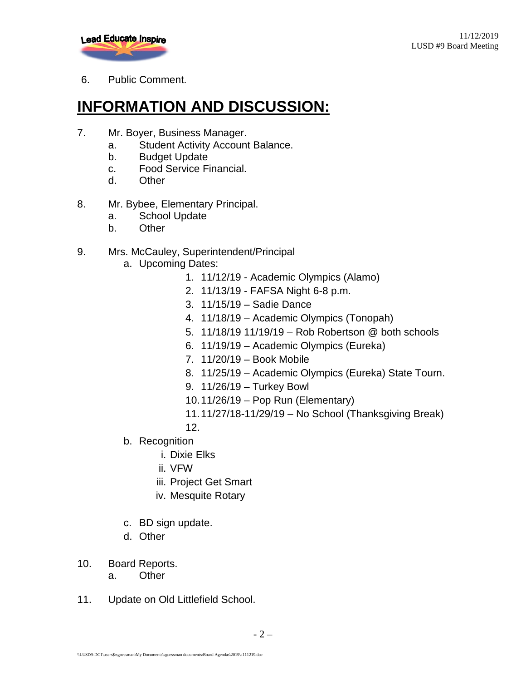

6. Public Comment.

# **INFORMATION AND DISCUSSION:**

- 7. Mr. Boyer, Business Manager.
	- a. Student Activity Account Balance.
	- b. Budget Update
	- c. Food Service Financial.
	- d. Other
- 8. Mr. Bybee, Elementary Principal.
	- a. School Update
	- b. Other

#### 9. Mrs. McCauley, Superintendent/Principal

- a. Upcoming Dates:
	- 1. 11/12/19 Academic Olympics (Alamo)
	- 2. 11/13/19 FAFSA Night 6-8 p.m.
	- 3. 11/15/19 Sadie Dance
	- 4. 11/18/19 Academic Olympics (Tonopah)
	- 5. 11/18/19 11/19/19 Rob Robertson @ both schools
	- 6. 11/19/19 Academic Olympics (Eureka)
	- 7. 11/20/19 Book Mobile
	- 8. 11/25/19 Academic Olympics (Eureka) State Tourn.
	- 9. 11/26/19 Turkey Bowl
	- 10.11/26/19 Pop Run (Elementary)
	- 11.11/27/18-11/29/19 No School (Thanksgiving Break)
	- 12.
- b. Recognition
	- i. Dixie Elks
	- ii. VFW
	- iii. Project Get Smart
	- iv. Mesquite Rotary
- c. BD sign update.
- d. Other
- 10. Board Reports.
	- a. Other
- 11. Update on Old Littlefield School.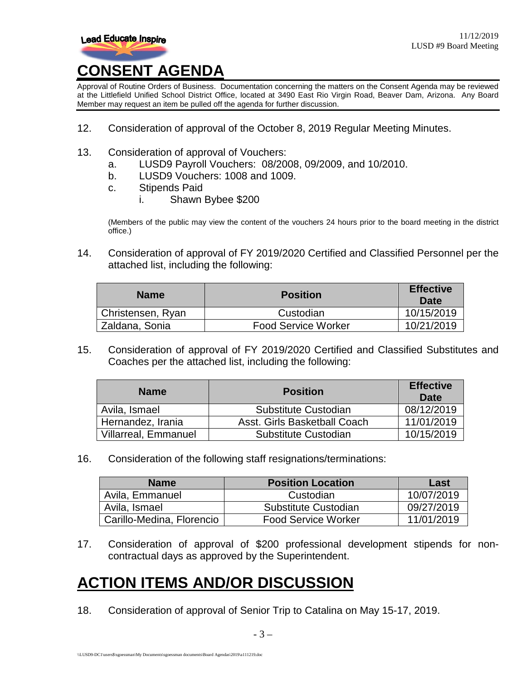

#### Approval of Routine Orders of Business. Documentation concerning the matters on the Consent Agenda may be reviewed at the Littlefield Unified School District Office, located at 3490 East Rio Virgin Road, Beaver Dam, Arizona. Any Board Member may request an item be pulled off the agenda for further discussion.

- 12. Consideration of approval of the October 8, 2019 Regular Meeting Minutes.
- 13. Consideration of approval of Vouchers:
	- a. LUSD9 Payroll Vouchers: 08/2008, 09/2009, and 10/2010.
	- b. LUSD9 Vouchers: 1008 and 1009.
	- c. Stipends Paid
		- i. Shawn Bybee \$200

(Members of the public may view the content of the vouchers 24 hours prior to the board meeting in the district office.)

14. Consideration of approval of FY 2019/2020 Certified and Classified Personnel per the attached list, including the following:

| <b>Name</b>       | <b>Position</b>            | <b>Effective</b><br>Date |
|-------------------|----------------------------|--------------------------|
| Christensen, Ryan | Custodian                  | 10/15/2019               |
| Zaldana, Sonia    | <b>Food Service Worker</b> | 10/21/2019               |

15. Consideration of approval of FY 2019/2020 Certified and Classified Substitutes and Coaches per the attached list, including the following:

| <b>Name</b>                 | <b>Position</b>              | <b>Effective</b><br>Date |
|-----------------------------|------------------------------|--------------------------|
| Avila, Ismael               | Substitute Custodian         | 08/12/2019               |
| Hernandez, Irania           | Asst. Girls Basketball Coach | 11/01/2019               |
| <b>Villarreal, Emmanuel</b> | Substitute Custodian         | 10/15/2019               |

16. Consideration of the following staff resignations/terminations:

| <b>Name</b>               | <b>Position Location</b>   | Last       |
|---------------------------|----------------------------|------------|
| Avila, Emmanuel           | Custodian                  | 10/07/2019 |
| Avila, Ismael             | Substitute Custodian       | 09/27/2019 |
| Carillo-Medina, Florencio | <b>Food Service Worker</b> | 11/01/2019 |

17. Consideration of approval of \$200 professional development stipends for noncontractual days as approved by the Superintendent.

## **ACTION ITEMS AND/OR DISCUSSION**

18. Consideration of approval of Senior Trip to Catalina on May 15-17, 2019.